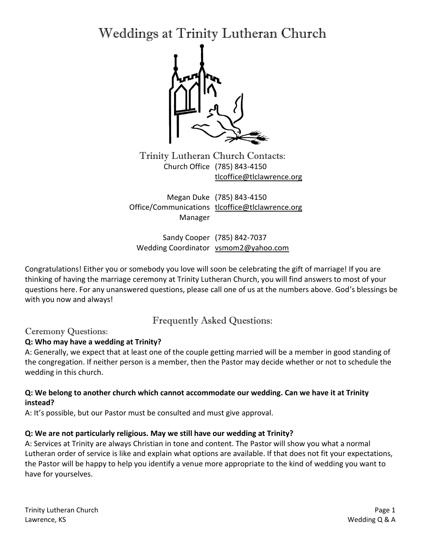Weddings at Trinity Lutheran Church



Trinity Lutheran Church Contacts: Church Office (785) 843-4150 [tlcoffice@tlclawrence.org](mailto:tlcoffice@tlclawrence.org)

Megan Duke (785) 843-4150 Office/Communications [tlcoffice@tlclawrence.org](mailto:tlcoffice@tlclawrence.org) Manager

Sandy Cooper (785) 842-7037 Wedding Coordinator [vsmom2@yahoo.com](mailto:vsmom2@yahoo.com)

Congratulations! Either you or somebody you love will soon be celebrating the gift of marriage! If you are thinking of having the marriage ceremony at Trinity Lutheran Church, you will find answers to most of your questions here. For any unanswered questions, please call one of us at the numbers above. God's blessings be with you now and always!

Frequently Asked Questions:

# Ceremony Questions:

# **Q: Who may have a wedding at Trinity?**

A: Generally, we expect that at least one of the couple getting married will be a member in good standing of the congregation. If neither person is a member, then the Pastor may decide whether or not to schedule the wedding in this church.

## **Q: We belong to another church which cannot accommodate our wedding. Can we have it at Trinity instead?**

A: It's possible, but our Pastor must be consulted and must give approval.

# **Q: We are not particularly religious. May we still have our wedding at Trinity?**

A: Services at Trinity are always Christian in tone and content. The Pastor will show you what a normal Lutheran order of service is like and explain what options are available. If that does not fit your expectations, the Pastor will be happy to help you identify a venue more appropriate to the kind of wedding you want to have for yourselves.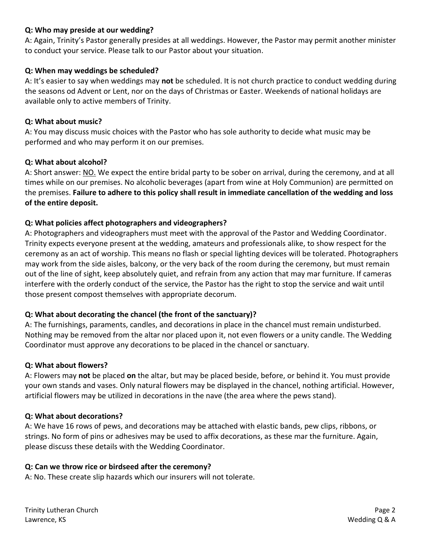### **Q: Who may preside at our wedding?**

A: Again, Trinity's Pastor generally presides at all weddings. However, the Pastor may permit another minister to conduct your service. Please talk to our Pastor about your situation.

#### **Q: When may weddings be scheduled?**

A: It's easier to say when weddings may **not** be scheduled. It is not church practice to conduct wedding during the seasons od Advent or Lent, nor on the days of Christmas or Easter. Weekends of national holidays are available only to active members of Trinity.

#### **Q: What about music?**

A: You may discuss music choices with the Pastor who has sole authority to decide what music may be performed and who may perform it on our premises.

#### **Q: What about alcohol?**

A: Short answer: NO. We expect the entire bridal party to be sober on arrival, during the ceremony, and at all times while on our premises. No alcoholic beverages (apart from wine at Holy Communion) are permitted on the premises. **Failure to adhere to this policy shall result in immediate cancellation of the wedding and loss of the entire deposit.**

### **Q: What policies affect photographers and videographers?**

A: Photographers and videographers must meet with the approval of the Pastor and Wedding Coordinator. Trinity expects everyone present at the wedding, amateurs and professionals alike, to show respect for the ceremony as an act of worship. This means no flash or special lighting devices will be tolerated. Photographers may work from the side aisles, balcony, or the very back of the room during the ceremony, but must remain out of the line of sight, keep absolutely quiet, and refrain from any action that may mar furniture. If cameras interfere with the orderly conduct of the service, the Pastor has the right to stop the service and wait until those present compost themselves with appropriate decorum.

### **Q: What about decorating the chancel (the front of the sanctuary)?**

A: The furnishings, paraments, candles, and decorations in place in the chancel must remain undisturbed. Nothing may be removed from the altar nor placed upon it, not even flowers or a unity candle. The Wedding Coordinator must approve any decorations to be placed in the chancel or sanctuary.

### **Q: What about flowers?**

A: Flowers may **not** be placed **on** the altar, but may be placed beside, before, or behind it. You must provide your own stands and vases. Only natural flowers may be displayed in the chancel, nothing artificial. However, artificial flowers may be utilized in decorations in the nave (the area where the pews stand).

#### **Q: What about decorations?**

A: We have 16 rows of pews, and decorations may be attached with elastic bands, pew clips, ribbons, or strings. No form of pins or adhesives may be used to affix decorations, as these mar the furniture. Again, please discuss these details with the Wedding Coordinator.

### **Q: Can we throw rice or birdseed after the ceremony?**

A: No. These create slip hazards which our insurers will not tolerate.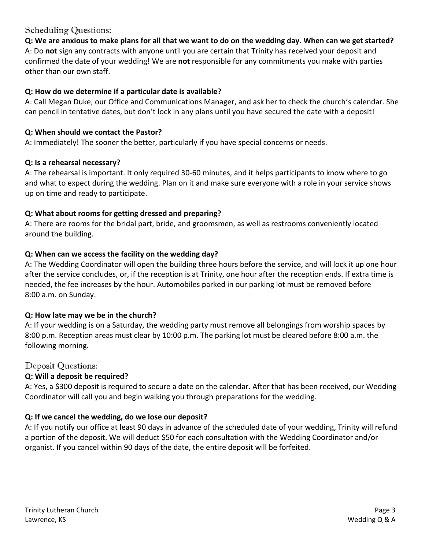# Scheduling Questions:

**Q: We are anxious to make plans for all that we want to do on the wedding day. When can we get started?** A: Do **not** sign any contracts with anyone until you are certain that Trinity has received your deposit and confirmed the date of your wedding! We are **not** responsible for any commitments you make with parties other than our own staff.

## **Q: How do we determine if a particular date is available?**

A: Call Megan Duke, our Office and Communications Manager, and ask her to check the church's calendar. She can pencil in tentative dates, but don't lock in any plans until you have secured the date with a deposit!

### **Q: When should we contact the Pastor?**

A: Immediately! The sooner the better, particularly if you have special concerns or needs.

### **Q: Is a rehearsal necessary?**

A: The rehearsal is important. It only required 30-60 minutes, and it helps participants to know where to go and what to expect during the wedding. Plan on it and make sure everyone with a role in your service shows up on time and ready to participate.

## **Q: What about rooms for getting dressed and preparing?**

A: There are rooms for the bridal part, bride, and groomsmen, as well as restrooms conveniently located around the building.

## **Q: When can we access the facility on the wedding day?**

A: The Wedding Coordinator will open the building three hours before the service, and will lock it up one hour after the service concludes, or, if the reception is at Trinity, one hour after the reception ends. If extra time is needed, the fee increases by the hour. Automobiles parked in our parking lot must be removed before 8:00 a.m. on Sunday.

### **Q: How late may we be in the church?**

A: If your wedding is on a Saturday, the wedding party must remove all belongings from worship spaces by 8:00 p.m. Reception areas must clear by 10:00 p.m. The parking lot must be cleared before 8:00 a.m. the following morning.

### Deposit Questions:

# **Q: Will a deposit be required?**

A: Yes, a \$300 deposit is required to secure a date on the calendar. After that has been received, our Wedding Coordinator will call you and begin walking you through preparations for the wedding.

# **Q: If we cancel the wedding, do we lose our deposit?**

A: If you notify our office at least 90 days in advance of the scheduled date of your wedding, Trinity will refund a portion of the deposit. We will deduct \$50 for each consultation with the Wedding Coordinator and/or organist. If you cancel within 90 days of the date, the entire deposit will be forfeited.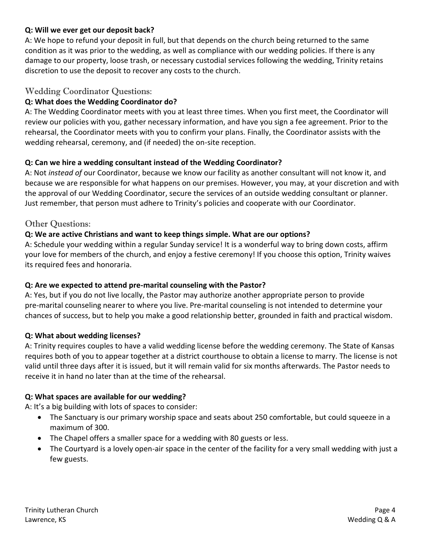## **Q: Will we ever get our deposit back?**

A: We hope to refund your deposit in full, but that depends on the church being returned to the same condition as it was prior to the wedding, as well as compliance with our wedding policies. If there is any damage to our property, loose trash, or necessary custodial services following the wedding, Trinity retains discretion to use the deposit to recover any costs to the church.

## Wedding Coordinator Questions:

## **Q: What does the Wedding Coordinator do?**

A: The Wedding Coordinator meets with you at least three times. When you first meet, the Coordinator will review our policies with you, gather necessary information, and have you sign a fee agreement. Prior to the rehearsal, the Coordinator meets with you to confirm your plans. Finally, the Coordinator assists with the wedding rehearsal, ceremony, and (if needed) the on-site reception.

### **Q: Can we hire a wedding consultant instead of the Wedding Coordinator?**

A: Not *instead of* our Coordinator, because we know our facility as another consultant will not know it, and because we are responsible for what happens on our premises. However, you may, at your discretion and with the approval of our Wedding Coordinator, secure the services of an outside wedding consultant or planner. Just remember, that person must adhere to Trinity's policies and cooperate with our Coordinator.

## Other Questions:

## **Q: We are active Christians and want to keep things simple. What are our options?**

A: Schedule your wedding within a regular Sunday service! It is a wonderful way to bring down costs, affirm your love for members of the church, and enjoy a festive ceremony! If you choose this option, Trinity waives its required fees and honoraria.

### **Q: Are we expected to attend pre-marital counseling with the Pastor?**

A: Yes, but if you do not live locally, the Pastor may authorize another appropriate person to provide pre-marital counseling nearer to where you live. Pre-marital counseling is not intended to determine your chances of success, but to help you make a good relationship better, grounded in faith and practical wisdom.

### **Q: What about wedding licenses?**

A: Trinity requires couples to have a valid wedding license before the wedding ceremony. The State of Kansas requires both of you to appear together at a district courthouse to obtain a license to marry. The license is not valid until three days after it is issued, but it will remain valid for six months afterwards. The Pastor needs to receive it in hand no later than at the time of the rehearsal.

### **Q: What spaces are available for our wedding?**

A: It's a big building with lots of spaces to consider:

- The Sanctuary is our primary worship space and seats about 250 comfortable, but could squeeze in a maximum of 300.
- The Chapel offers a smaller space for a wedding with 80 guests or less.
- The Courtyard is a lovely open-air space in the center of the facility for a very small wedding with just a few guests.